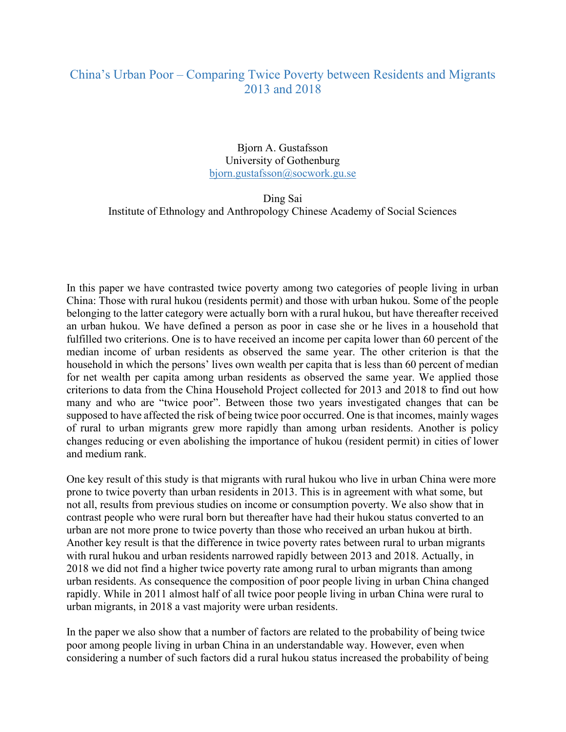## China's Urban Poor – Comparing Twice Poverty between Residents and Migrants 2013 and 2018

Bjorn A. Gustafsson University of Gothenburg bjorn.gustafsson@socwork.gu.se

Ding Sai Institute of Ethnology and Anthropology Chinese Academy of Social Sciences

In this paper we have contrasted twice poverty among two categories of people living in urban China: Those with rural hukou (residents permit) and those with urban hukou. Some of the people belonging to the latter category were actually born with a rural hukou, but have thereafter received an urban hukou. We have defined a person as poor in case she or he lives in a household that fulfilled two criterions. One is to have received an income per capita lower than 60 percent of the median income of urban residents as observed the same year. The other criterion is that the household in which the persons' lives own wealth per capita that is less than 60 percent of median for net wealth per capita among urban residents as observed the same year. We applied those criterions to data from the China Household Project collected for 2013 and 2018 to find out how many and who are "twice poor". Between those two years investigated changes that can be supposed to have affected the risk of being twice poor occurred. One is that incomes, mainly wages of rural to urban migrants grew more rapidly than among urban residents. Another is policy changes reducing or even abolishing the importance of hukou (resident permit) in cities of lower and medium rank.

One key result of this study is that migrants with rural hukou who live in urban China were more prone to twice poverty than urban residents in 2013. This is in agreement with what some, but not all, results from previous studies on income or consumption poverty. We also show that in contrast people who were rural born but thereafter have had their hukou status converted to an urban are not more prone to twice poverty than those who received an urban hukou at birth. Another key result is that the difference in twice poverty rates between rural to urban migrants with rural hukou and urban residents narrowed rapidly between 2013 and 2018. Actually, in 2018 we did not find a higher twice poverty rate among rural to urban migrants than among urban residents. As consequence the composition of poor people living in urban China changed rapidly. While in 2011 almost half of all twice poor people living in urban China were rural to urban migrants, in 2018 a vast majority were urban residents.

In the paper we also show that a number of factors are related to the probability of being twice poor among people living in urban China in an understandable way. However, even when considering a number of such factors did a rural hukou status increased the probability of being